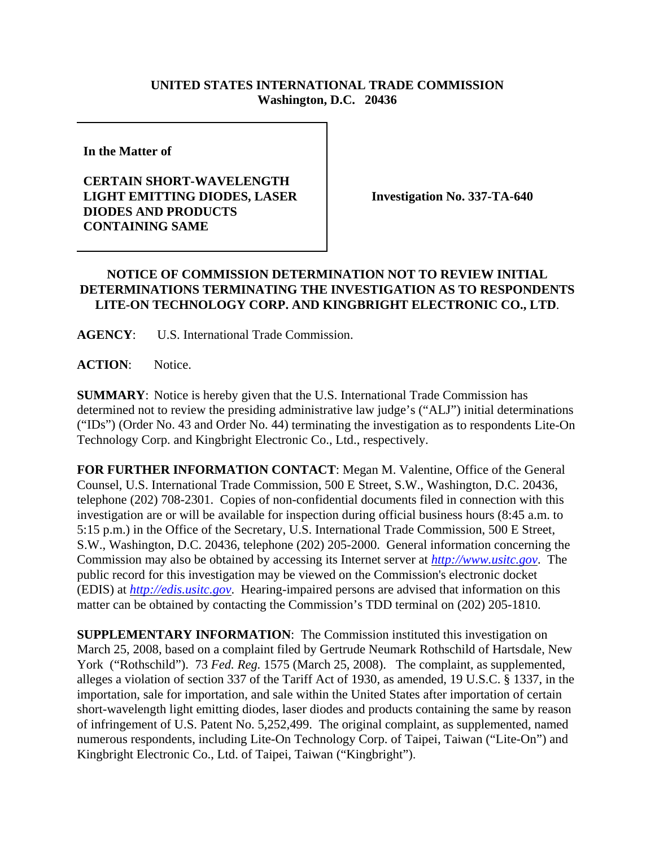## **UNITED STATES INTERNATIONAL TRADE COMMISSION Washington, D.C. 20436**

**In the Matter of** 

## **CERTAIN SHORT-WAVELENGTH LIGHT EMITTING DIODES, LASER DIODES AND PRODUCTS CONTAINING SAME**

**Investigation No. 337-TA-640**

## **NOTICE OF COMMISSION DETERMINATION NOT TO REVIEW INITIAL DETERMINATIONS TERMINATING THE INVESTIGATION AS TO RESPONDENTS LITE-ON TECHNOLOGY CORP. AND KINGBRIGHT ELECTRONIC CO., LTD**.

**AGENCY**: U.S. International Trade Commission.

**ACTION**: Notice.

**SUMMARY**: Notice is hereby given that the U.S. International Trade Commission has determined not to review the presiding administrative law judge's ("ALJ") initial determinations ("IDs") (Order No. 43 and Order No. 44) terminating the investigation as to respondents Lite-On Technology Corp. and Kingbright Electronic Co., Ltd., respectively.

**FOR FURTHER INFORMATION CONTACT**: Megan M. Valentine, Office of the General Counsel, U.S. International Trade Commission, 500 E Street, S.W., Washington, D.C. 20436, telephone (202) 708-2301. Copies of non-confidential documents filed in connection with this investigation are or will be available for inspection during official business hours (8:45 a.m. to 5:15 p.m.) in the Office of the Secretary, U.S. International Trade Commission, 500 E Street, S.W., Washington, D.C. 20436, telephone (202) 205-2000. General information concerning the Commission may also be obtained by accessing its Internet server at *http://www.usitc.gov*. The public record for this investigation may be viewed on the Commission's electronic docket (EDIS) at *http://edis.usitc.gov*. Hearing-impaired persons are advised that information on this matter can be obtained by contacting the Commission's TDD terminal on (202) 205-1810.

**SUPPLEMENTARY INFORMATION:** The Commission instituted this investigation on March 25, 2008, based on a complaint filed by Gertrude Neumark Rothschild of Hartsdale, New York ("Rothschild"). 73 *Fed. Reg.* 1575 (March 25, 2008). The complaint, as supplemented, alleges a violation of section 337 of the Tariff Act of 1930, as amended, 19 U.S.C. § 1337, in the importation, sale for importation, and sale within the United States after importation of certain short-wavelength light emitting diodes, laser diodes and products containing the same by reason of infringement of U.S. Patent No. 5,252,499. The original complaint, as supplemented, named numerous respondents, including Lite-On Technology Corp. of Taipei, Taiwan ("Lite-On") and Kingbright Electronic Co., Ltd. of Taipei, Taiwan ("Kingbright").